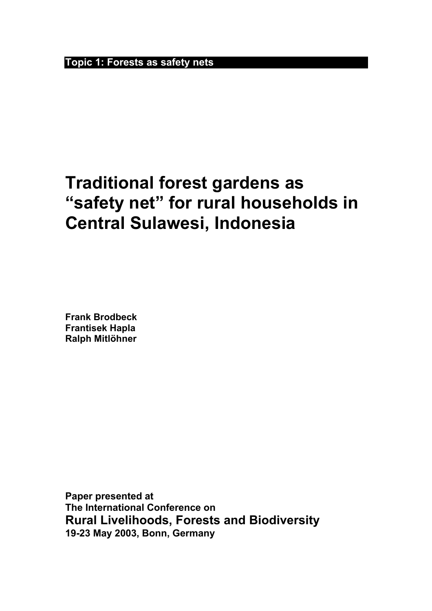**Topic 1: Forests as safety nets**

# **Traditional forest gardens as "safety net" for rural households in Central Sulawesi, Indonesia**

**Frank Brodbeck Frantisek Hapla Ralph Mitlöhner**

**Paper presented at The International Conference on Rural Livelihoods, Forests and Biodiversity 19-23 May 2003, Bonn, Germany**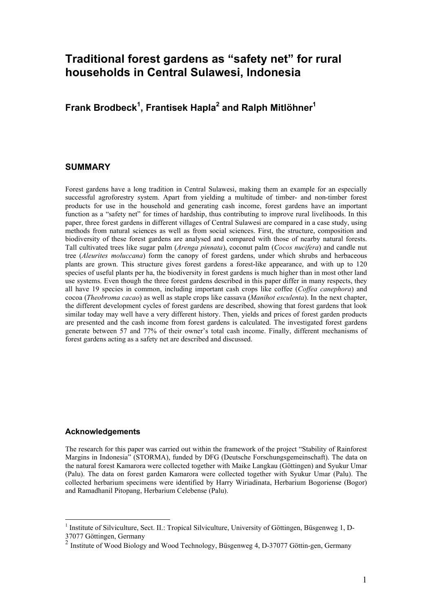## **Traditional forest gardens as "safety net" for rural households in Central Sulawesi, Indonesia**

## **Frank Brodbeck<sup>1</sup> , Frantisek Hapla<sup>2</sup> and Ralph Mitlöhner<sup>1</sup>**

#### **SUMMARY**

Forest gardens have a long tradition in Central Sulawesi, making them an example for an especially successful agroforestry system. Apart from yielding a multitude of timber- and non-timber forest products for use in the household and generating cash income, forest gardens have an important function as a "safety net" for times of hardship, thus contributing to improve rural livelihoods. In this paper, three forest gardens in different villages of Central Sulawesi are compared in a case study, using methods from natural sciences as well as from social sciences. First, the structure, composition and biodiversity of these forest gardens are analysed and compared with those of nearby natural forests. Tall cultivated trees like sugar palm (*Arenga pinnata*), coconut palm (*Cocos nucifera*) and candle nut tree (*Aleurites moluccana*) form the canopy of forest gardens, under which shrubs and herbaceous plants are grown. This structure gives forest gardens a forest-like appearance, and with up to 120 species of useful plants per ha, the biodiversity in forest gardens is much higher than in most other land use systems. Even though the three forest gardens described in this paper differ in many respects, they all have 19 species in common, including important cash crops like coffee (*Coffea canephora*) and cocoa (*Theobroma cacao*) as well as staple crops like cassava (*Manihot esculenta*). In the next chapter, the different development cycles of forest gardens are described, showing that forest gardens that look similar today may well have a very different history. Then, yields and prices of forest garden products are presented and the cash income from forest gardens is calculated. The investigated forest gardens generate between 57 and 77% of their owner's total cash income. Finally, different mechanisms of forest gardens acting as a safety net are described and discussed.

#### **Acknowledgements**

 $\overline{a}$ 

The research for this paper was carried out within the framework of the project "Stability of Rainforest Margins in Indonesia" (STORMA), funded by DFG (Deutsche Forschungsgemeinschaft). The data on the natural forest Kamarora were collected together with Maike Langkau (Göttingen) and Syukur Umar (Palu). The data on forest garden Kamarora were collected together with Syukur Umar (Palu). The collected herbarium specimens were identified by Harry Wiriadinata, Herbarium Bogoriense (Bogor) and Ramadhanil Pitopang, Herbarium Celebense (Palu).

<sup>&</sup>lt;sup>1</sup> Institute of Silviculture, Sect. II.: Tropical Silviculture, University of Göttingen, Büsgenweg 1, D-37077 Göttingen, Germany

Institute of Wood Biology and Wood Technology, Büsgenweg 4, D-37077 Göttin-gen, Germany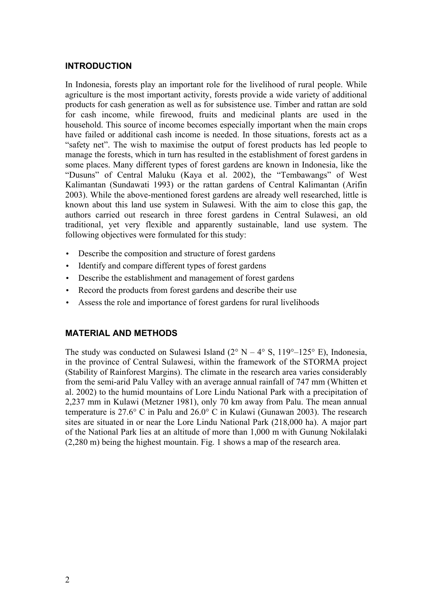## **INTRODUCTION**

In Indonesia, forests play an important role for the livelihood of rural people. While agriculture is the most important activity, forests provide a wide variety of additional products for cash generation as well as for subsistence use. Timber and rattan are sold for cash income, while firewood, fruits and medicinal plants are used in the household. This source of income becomes especially important when the main crops have failed or additional cash income is needed. In those situations, forests act as a "safety net". The wish to maximise the output of forest products has led people to manage the forests, which in turn has resulted in the establishment of forest gardens in some places. Many different types of forest gardens are known in Indonesia, like the "Dusuns" of Central Maluku (Kaya et al. 2002), the "Tembawangs" of West Kalimantan (Sundawati 1993) or the rattan gardens of Central Kalimantan (Arifin 2003). While the above-mentioned forest gardens are already well researched, little is known about this land use system in Sulawesi. With the aim to close this gap, the authors carried out research in three forest gardens in Central Sulawesi, an old traditional, yet very flexible and apparently sustainable, land use system. The following objectives were formulated for this study:

- Describe the composition and structure of forest gardens
- Identify and compare different types of forest gardens
- Describe the establishment and management of forest gardens
- Record the products from forest gardens and describe their use
- Assess the role and importance of forest gardens for rural livelihoods

## **MATERIAL AND METHODS**

The study was conducted on Sulawesi Island ( $2^{\circ}$  N –  $4^{\circ}$  S, 119<sup>o</sup>–125<sup>o</sup> E), Indonesia, in the province of Central Sulawesi, within the framework of the STORMA project (Stability of Rainforest Margins). The climate in the research area varies considerably from the semi-arid Palu Valley with an average annual rainfall of 747 mm (Whitten et al. 2002) to the humid mountains of Lore Lindu National Park with a precipitation of 2,237 mm in Kulawi (Metzner 1981), only 70 km away from Palu. The mean annual temperature is 27.6° C in Palu and 26.0° C in Kulawi (Gunawan 2003). The research sites are situated in or near the Lore Lindu National Park (218,000 ha). A major part of the National Park lies at an altitude of more than 1,000 m with Gunung Nokilalaki (2,280 m) being the highest mountain. Fig. 1 shows a map of the research area.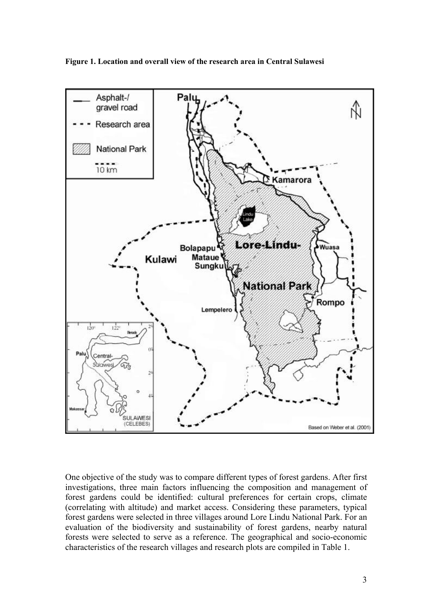**Figure 1. Location and overall view of the research area in Central Sulawesi**



One objective of the study was to compare different types of forest gardens. After first investigations, three main factors influencing the composition and management of forest gardens could be identified: cultural preferences for certain crops, climate (correlating with altitude) and market access. Considering these parameters, typical forest gardens were selected in three villages around Lore Lindu National Park. For an evaluation of the biodiversity and sustainability of forest gardens, nearby natural forests were selected to serve as a reference. The geographical and socio-economic characteristics of the research villages and research plots are compiled in Table 1.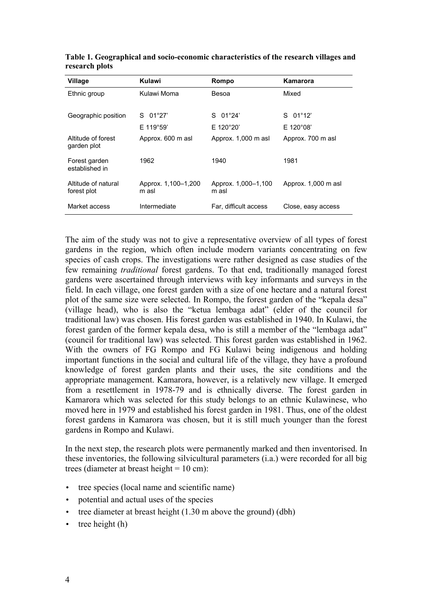| Village                            | Kulawi                       | Rompo                        | Kamarora            |
|------------------------------------|------------------------------|------------------------------|---------------------|
| Ethnic group                       | Kulawi Moma                  | Besoa                        | Mixed               |
|                                    |                              |                              |                     |
| Geographic position                | $S = 01^{\circ}27'$          | 01°24'<br>S.                 | $S$ 01°12'          |
|                                    | $E$ 119°59'                  | E 120°20'                    | $E$ 120°08'         |
| Altitude of forest<br>garden plot  | Approx. 600 m asl            | Approx. 1,000 m asl          | Approx. 700 m asl   |
| Forest garden<br>established in    | 1962                         | 1940                         | 1981                |
| Altitude of natural<br>forest plot | Approx. 1,100-1,200<br>m asl | Approx. 1,000-1,100<br>m asl | Approx. 1,000 m asl |
| Market access                      | Intermediate                 | Far, difficult access        | Close, easy access  |

**Table 1. Geographical and socio-economic characteristics of the research villages and research plots**

The aim of the study was not to give a representative overview of all types of forest gardens in the region, which often include modern variants concentrating on few species of cash crops. The investigations were rather designed as case studies of the few remaining *traditional* forest gardens. To that end, traditionally managed forest gardens were ascertained through interviews with key informants and surveys in the field. In each village, one forest garden with a size of one hectare and a natural forest plot of the same size were selected. In Rompo, the forest garden of the "kepala desa" (village head), who is also the "ketua lembaga adat" (elder of the council for traditional law) was chosen. His forest garden was established in 1940. In Kulawi, the forest garden of the former kepala desa, who is still a member of the "lembaga adat" (council for traditional law) was selected. This forest garden was established in 1962. With the owners of FG Rompo and FG Kulawi being indigenous and holding important functions in the social and cultural life of the village, they have a profound knowledge of forest garden plants and their uses, the site conditions and the appropriate management. Kamarora, however, is a relatively new village. It emerged from a resettlement in 1978-79 and is ethnically diverse. The forest garden in Kamarora which was selected for this study belongs to an ethnic Kulawinese, who moved here in 1979 and established his forest garden in 1981. Thus, one of the oldest forest gardens in Kamarora was chosen, but it is still much younger than the forest gardens in Rompo and Kulawi.

In the next step, the research plots were permanently marked and then inventorised. In these inventories, the following silvicultural parameters (i.a.) were recorded for all big trees (diameter at breast height = 10 cm):

- tree species (local name and scientific name)
- potential and actual uses of the species
- tree diameter at breast height (1.30 m above the ground) (dbh)
- $\bullet$  tree height (h)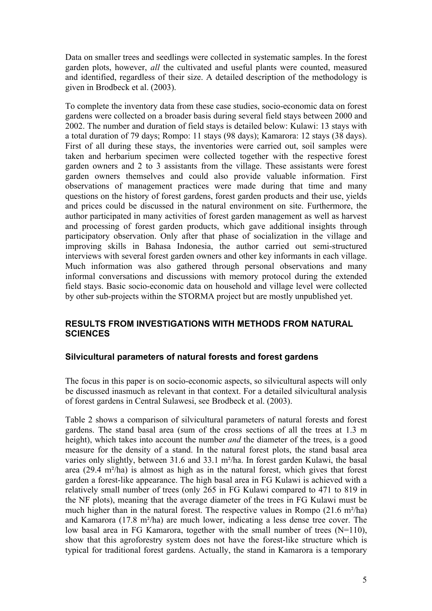Data on smaller trees and seedlings were collected in systematic samples. In the forest garden plots, however, *all* the cultivated and useful plants were counted, measured and identified, regardless of their size. A detailed description of the methodology is given in Brodbeck et al. (2003).

To complete the inventory data from these case studies, socio-economic data on forest gardens were collected on a broader basis during several field stays between 2000 and 2002. The number and duration of field stays is detailed below: Kulawi: 13 stays with a total duration of 79 days; Rompo: 11 stays (98 days); Kamarora: 12 stays (38 days). First of all during these stays, the inventories were carried out, soil samples were taken and herbarium specimen were collected together with the respective forest garden owners and 2 to 3 assistants from the village. These assistants were forest garden owners themselves and could also provide valuable information. First observations of management practices were made during that time and many questions on the history of forest gardens, forest garden products and their use, yields and prices could be discussed in the natural environment on site. Furthermore, the author participated in many activities of forest garden management as well as harvest and processing of forest garden products, which gave additional insights through participatory observation. Only after that phase of socialization in the village and improving skills in Bahasa Indonesia, the author carried out semi-structured interviews with several forest garden owners and other key informants in each village. Much information was also gathered through personal observations and many informal conversations and discussions with memory protocol during the extended field stays. Basic socio-economic data on household and village level were collected by other sub-projects within the STORMA project but are mostly unpublished yet.

## **RESULTS FROM INVESTIGATIONS WITH METHODS FROM NATURAL SCIENCES**

## **Silvicultural parameters of natural forests and forest gardens**

The focus in this paper is on socio-economic aspects, so silvicultural aspects will only be discussed inasmuch as relevant in that context. For a detailed silvicultural analysis of forest gardens in Central Sulawesi, see Brodbeck et al. (2003).

Table 2 shows a comparison of silvicultural parameters of natural forests and forest gardens. The stand basal area (sum of the cross sections of all the trees at 1.3 m height), which takes into account the number *and* the diameter of the trees, is a good measure for the density of a stand. In the natural forest plots, the stand basal area varies only slightly, between 31.6 and 33.1 m²/ha. In forest garden Kulawi, the basal area (29.4 m²/ha) is almost as high as in the natural forest, which gives that forest garden a forest-like appearance. The high basal area in FG Kulawi is achieved with a relatively small number of trees (only 265 in FG Kulawi compared to 471 to 819 in the NF plots), meaning that the average diameter of the trees in FG Kulawi must be much higher than in the natural forest. The respective values in Rompo (21.6 m<sup>2</sup>/ha) and Kamarora (17.8 m²/ha) are much lower, indicating a less dense tree cover. The low basal area in FG Kamarora, together with the small number of trees  $(N=110)$ , show that this agroforestry system does not have the forest-like structure which is typical for traditional forest gardens. Actually, the stand in Kamarora is a temporary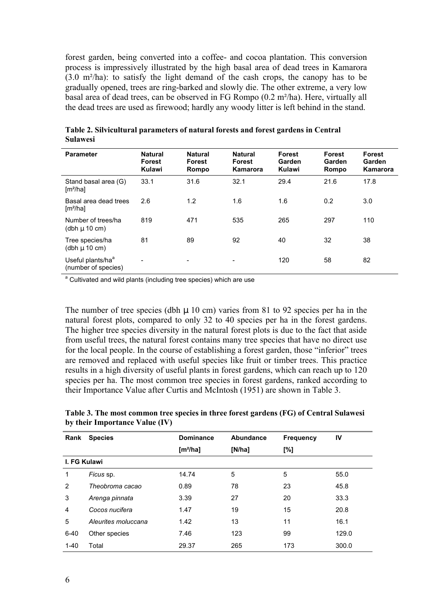forest garden, being converted into a coffee- and cocoa plantation. This conversion process is impressively illustrated by the high basal area of dead trees in Kamarora (3.0 m²/ha): to satisfy the light demand of the cash crops, the canopy has to be gradually opened, trees are ring-barked and slowly die. The other extreme, a very low basal area of dead trees, can be observed in FG Rompo (0.2 m²/ha). Here, virtually all the dead trees are used as firewood; hardly any woody litter is left behind in the stand.

| <b>Parameter</b>                                     | <b>Natural</b><br><b>Forest</b><br>Kulawi | <b>Natural</b><br><b>Forest</b><br>Rompo | <b>Natural</b><br><b>Forest</b><br>Kamarora | <b>Forest</b><br>Garden<br>Kulawi | <b>Forest</b><br>Garden<br>Rompo | Forest<br>Garden<br><b>Kamarora</b> |
|------------------------------------------------------|-------------------------------------------|------------------------------------------|---------------------------------------------|-----------------------------------|----------------------------------|-------------------------------------|
| Stand basal area (G)<br>[m <sup>2</sup> /ha]         | 33.1                                      | 31.6                                     | 32.1                                        | 29.4                              | 21.6                             | 17.8                                |
| Basal area dead trees<br>[m <sup>2</sup> /ha]        | 2.6                                       | 1.2                                      | 1.6                                         | 1.6                               | 0.2                              | 3.0                                 |
| Number of trees/ha<br>(dbh $\mu$ 10 cm)              | 819                                       | 471                                      | 535                                         | 265                               | 297                              | 110                                 |
| Tree species/ha<br>(dbh $\mu$ 10 cm)                 | 81                                        | 89                                       | 92                                          | 40                                | 32                               | 38                                  |
| Useful plants/ha <sup>a</sup><br>(number of species) |                                           | -                                        | $\overline{\phantom{a}}$                    | 120                               | 58                               | 82                                  |

**Table 2. Silvicultural parameters of natural forests and forest gardens in Central Sulawesi**

<sup>a</sup> Cultivated and wild plants (including tree species) which are use

The number of tree species (dbh  $\mu$  10 cm) varies from 81 to 92 species per ha in the natural forest plots, compared to only 32 to 40 species per ha in the forest gardens. The higher tree species diversity in the natural forest plots is due to the fact that aside from useful trees, the natural forest contains many tree species that have no direct use for the local people. In the course of establishing a forest garden, those "inferior" trees are removed and replaced with useful species like fruit or timber trees. This practice results in a high diversity of useful plants in forest gardens, which can reach up to 120 species per ha. The most common tree species in forest gardens, ranked according to their Importance Value after Curtis and McIntosh (1951) are shown in Table 3.

**Table 3. The most common tree species in three forest gardens (FG) of Central Sulawesi by their Importance Value (IV)**

| Rank           | <b>Species</b>      | <b>Dominance</b><br>$[m^2/ha]$ | Abundance<br>[N/ha] | <b>Frequency</b><br>[%] | IV    |
|----------------|---------------------|--------------------------------|---------------------|-------------------------|-------|
| I. FG Kulawi   |                     |                                |                     |                         |       |
| 1              | Ficus sp.           | 14.74                          | 5                   | 5                       | 55.0  |
| 2              | Theobroma cacao     | 0.89                           | 78                  | 23                      | 45.8  |
| 3              | Arenga pinnata      | 3.39                           | 27                  | 20                      | 33.3  |
| $\overline{4}$ | Cocos nucifera      | 1.47                           | 19                  | 15                      | 20.8  |
| 5              | Aleurites moluccana | 1.42                           | 13                  | 11                      | 16.1  |
| $6 - 40$       | Other species       | 7.46                           | 123                 | 99                      | 129.0 |
| $1 - 40$       | Total               | 29.37                          | 265                 | 173                     | 300.0 |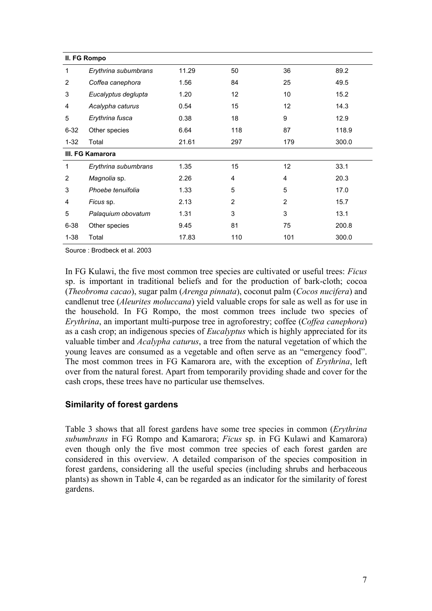|          | II. FG Rompo         |       |     |                |       |
|----------|----------------------|-------|-----|----------------|-------|
| 1        | Erythrina subumbrans | 11.29 | 50  | 36             | 89.2  |
| 2        | Coffea canephora     | 1.56  | 84  | 25             | 49.5  |
| 3        | Eucalyptus deglupta  | 1.20  | 12  | 10             | 15.2  |
| 4        | Acalypha caturus     | 0.54  | 15  | 12             | 14.3  |
| 5        | Erythrina fusca      | 0.38  | 18  | 9              | 12.9  |
| $6 - 32$ | Other species        | 6.64  | 118 | 87             | 118.9 |
| $1 - 32$ | Total                | 21.61 | 297 | 179            | 300.0 |
|          | III. FG Kamarora     |       |     |                |       |
| 1        | Erythrina subumbrans | 1.35  | 15  | 12             | 33.1  |
| 2        | Magnolia sp.         | 2.26  | 4   | 4              | 20.3  |
| 3        | Phoebe tenuifolia    | 1.33  | 5   | 5              | 17.0  |
| 4        | Ficus sp.            | 2.13  | 2   | $\overline{2}$ | 15.7  |
| 5        | Palaquium obovatum   | 1.31  | 3   | 3              | 13.1  |
| $6 - 38$ | Other species        | 9.45  | 81  | 75             | 200.8 |
| $1 - 38$ | Total                | 17.83 | 110 | 101            | 300.0 |

Source : Brodbeck et al. 2003

In FG Kulawi, the five most common tree species are cultivated or useful trees: *Ficus*  sp. is important in traditional beliefs and for the production of bark-cloth; cocoa (*Theobroma cacao*), sugar palm (*Arenga pinnata*), coconut palm (*Cocos nucifera*) and candlenut tree (*Aleurites moluccana*) yield valuable crops for sale as well as for use in the household. In FG Rompo, the most common trees include two species of *Erythrina*, an important multi-purpose tree in agroforestry; coffee (*Coffea canephora*) as a cash crop; an indigenous species of *Eucalyptus* which is highly appreciated for its valuable timber and *Acalypha caturus*, a tree from the natural vegetation of which the young leaves are consumed as a vegetable and often serve as an "emergency food". The most common trees in FG Kamarora are, with the exception of *Erythrina*, left over from the natural forest. Apart from temporarily providing shade and cover for the cash crops, these trees have no particular use themselves.

## **Similarity of forest gardens**

Table 3 shows that all forest gardens have some tree species in common (*Erythrina subumbrans* in FG Rompo and Kamarora; *Ficus* sp. in FG Kulawi and Kamarora) even though only the five most common tree species of each forest garden are considered in this overview. A detailed comparison of the species composition in forest gardens, considering all the useful species (including shrubs and herbaceous plants) as shown in Table 4, can be regarded as an indicator for the similarity of forest gardens.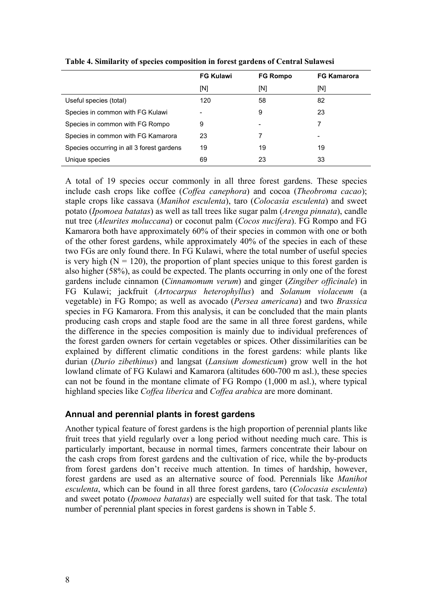|                                           | <b>FG Kulawi</b> | <b>FG Rompo</b> | <b>FG Kamarora</b> |
|-------------------------------------------|------------------|-----------------|--------------------|
|                                           | [N]              | [N]             | [N]                |
| Useful species (total)                    | 120              | 58              | 82                 |
| Species in common with FG Kulawi          |                  | 9               | 23                 |
| Species in common with FG Rompo           | 9                |                 |                    |
| Species in common with FG Kamarora        | 23               | 7               |                    |
| Species occurring in all 3 forest gardens | 19               | 19              | 19                 |
| Unique species                            | 69               | 23              | 33                 |

**Table 4. Similarity of species composition in forest gardens of Central Sulawesi**

A total of 19 species occur commonly in all three forest gardens. These species include cash crops like coffee (*Coffea canephora*) and cocoa (*Theobroma cacao*); staple crops like cassava (*Manihot esculenta*), taro (*Colocasia esculenta*) and sweet potato (*Ipomoea batatas*) as well as tall trees like sugar palm (*Arenga pinnata*), candle nut tree (*Aleurites moluccana*) or coconut palm (*Cocos nucifera*). FG Rompo and FG Kamarora both have approximately 60% of their species in common with one or both of the other forest gardens, while approximately 40% of the species in each of these two FGs are only found there. In FG Kulawi, where the total number of useful species is very high  $(N = 120)$ , the proportion of plant species unique to this forest garden is also higher (58%), as could be expected. The plants occurring in only one of the forest gardens include cinnamon (*Cinnamomum verum*) and ginger (*Zingiber officinale*) in FG Kulawi; jackfruit (*Artocarpus heterophyllus*) and *Solanum violaceum* (a vegetable) in FG Rompo; as well as avocado (*Persea americana*) and two *Brassica* species in FG Kamarora. From this analysis, it can be concluded that the main plants producing cash crops and staple food are the same in all three forest gardens, while the difference in the species composition is mainly due to individual preferences of the forest garden owners for certain vegetables or spices. Other dissimilarities can be explained by different climatic conditions in the forest gardens: while plants like durian (*Durio zibethinus*) and langsat (*Lansium domesticum*) grow well in the hot lowland climate of FG Kulawi and Kamarora (altitudes 600-700 m asl.), these species can not be found in the montane climate of FG Rompo (1,000 m asl.), where typical highland species like *Coffea liberica* and *Coffea arabica* are more dominant.

#### **Annual and perennial plants in forest gardens**

Another typical feature of forest gardens is the high proportion of perennial plants like fruit trees that yield regularly over a long period without needing much care. This is particularly important, because in normal times, farmers concentrate their labour on the cash crops from forest gardens and the cultivation of rice, while the by-products from forest gardens don't receive much attention. In times of hardship, however, forest gardens are used as an alternative source of food. Perennials like *Manihot esculenta*, which can be found in all three forest gardens, taro (*Colocasia esculenta*) and sweet potato (*Ipomoea batatas*) are especially well suited for that task. The total number of perennial plant species in forest gardens is shown in Table 5.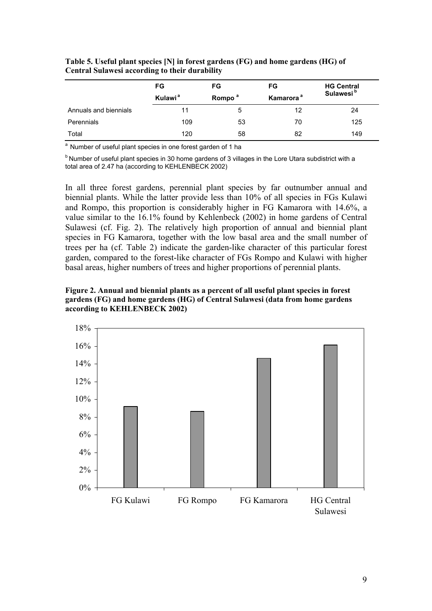|                       | FG                  | FG                 | FG                    | <b>HG Central</b>     |
|-----------------------|---------------------|--------------------|-----------------------|-----------------------|
|                       | Kulawi <sup>a</sup> | Rompo <sup>a</sup> | Kamarora <sup>a</sup> | Sulawesi <sup>b</sup> |
| Annuals and biennials | 11                  | 5                  | 12                    | 24                    |
| Perennials            | 109                 | 53                 | 70                    | 125                   |
| Total                 | 120                 | 58                 | 82                    | 149                   |

**Table 5. Useful plant species [N] in forest gardens (FG) and home gardens (HG) of Central Sulawesi according to their durability**

<sup>a</sup> Number of useful plant species in one forest garden of 1 ha

 $<sup>b</sup>$  Number of useful plant species in 30 home gardens of 3 villages in the Lore Utara subdistrict with a</sup> total area of 2.47 ha (according to KEHLENBECK 2002)

In all three forest gardens, perennial plant species by far outnumber annual and biennial plants. While the latter provide less than 10% of all species in FGs Kulawi and Rompo, this proportion is considerably higher in FG Kamarora with 14.6%, a value similar to the 16.1% found by Kehlenbeck (2002) in home gardens of Central Sulawesi (cf. Fig. 2). The relatively high proportion of annual and biennial plant species in FG Kamarora, together with the low basal area and the small number of trees per ha (cf. Table 2) indicate the garden-like character of this particular forest garden, compared to the forest-like character of FGs Rompo and Kulawi with higher basal areas, higher numbers of trees and higher proportions of perennial plants.

**Figure 2. Annual and biennial plants as a percent of all useful plant species in forest gardens (FG) and home gardens (HG) of Central Sulawesi (data from home gardens according to KEHLENBECK 2002)**

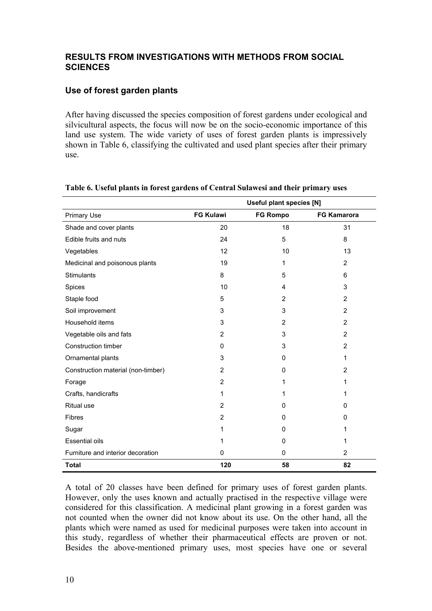## **RESULTS FROM INVESTIGATIONS WITH METHODS FROM SOCIAL SCIENCES**

## **Use of forest garden plants**

After having discussed the species composition of forest gardens under ecological and silvicultural aspects, the focus will now be on the socio-economic importance of this land use system. The wide variety of uses of forest garden plants is impressively shown in Table 6, classifying the cultivated and used plant species after their primary use.

|                                    |                  | <b>Useful plant species [N]</b> |                    |
|------------------------------------|------------------|---------------------------------|--------------------|
| <b>Primary Use</b>                 | <b>FG Kulawi</b> | <b>FG Rompo</b>                 | <b>FG Kamarora</b> |
| Shade and cover plants             | 20               | 18                              | 31                 |
| Edible fruits and nuts             | 24               | 5                               | 8                  |
| Vegetables                         | 12               | 10                              | 13                 |
| Medicinal and poisonous plants     | 19               | 1                               | 2                  |
| <b>Stimulants</b>                  | 8                | 5                               | 6                  |
| Spices                             | 10               | 4                               | 3                  |
| Staple food                        | 5                | 2                               | $\overline{2}$     |
| Soil improvement                   | 3                | 3                               | 2                  |
| Household items                    | 3                | 2                               | 2                  |
| Vegetable oils and fats            | $\overline{2}$   | 3                               | 2                  |
| Construction timber                | 0                | 3                               | $\overline{2}$     |
| Ornamental plants                  | 3                | 0                               | 1                  |
| Construction material (non-timber) | 2                | $\Omega$                        | 2                  |
| Forage                             | $\overline{2}$   | 1                               | 1                  |
| Crafts, handicrafts                | 1                | 1                               | 1                  |
| <b>Ritual use</b>                  | $\overline{2}$   | 0                               | 0                  |
| <b>Fibres</b>                      | $\overline{2}$   | 0                               | 0                  |
| Sugar                              | 1                | $\Omega$                        | 1                  |
| <b>Essential oils</b>              | 1                | 0                               | 1                  |
| Furniture and interior decoration  | 0                | 0                               | $\overline{2}$     |
| <b>Total</b>                       | 120              | 58                              | 82                 |

#### **Table 6. Useful plants in forest gardens of Central Sulawesi and their primary uses**

A total of 20 classes have been defined for primary uses of forest garden plants. However, only the uses known and actually practised in the respective village were considered for this classification. A medicinal plant growing in a forest garden was not counted when the owner did not know about its use. On the other hand, all the plants which were named as used for medicinal purposes were taken into account in this study, regardless of whether their pharmaceutical effects are proven or not. Besides the above-mentioned primary uses, most species have one or several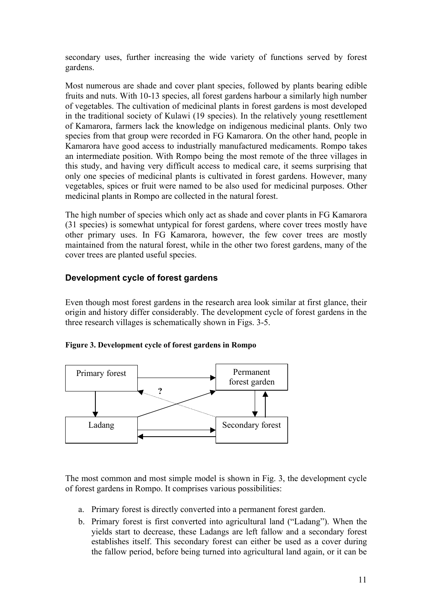secondary uses, further increasing the wide variety of functions served by forest gardens.

Most numerous are shade and cover plant species, followed by plants bearing edible fruits and nuts. With 10-13 species, all forest gardens harbour a similarly high number of vegetables. The cultivation of medicinal plants in forest gardens is most developed in the traditional society of Kulawi (19 species). In the relatively young resettlement of Kamarora, farmers lack the knowledge on indigenous medicinal plants. Only two species from that group were recorded in FG Kamarora. On the other hand, people in Kamarora have good access to industrially manufactured medicaments. Rompo takes an intermediate position. With Rompo being the most remote of the three villages in this study, and having very difficult access to medical care, it seems surprising that only one species of medicinal plants is cultivated in forest gardens. However, many vegetables, spices or fruit were named to be also used for medicinal purposes. Other medicinal plants in Rompo are collected in the natural forest.

The high number of species which only act as shade and cover plants in FG Kamarora (31 species) is somewhat untypical for forest gardens, where cover trees mostly have other primary uses. In FG Kamarora, however, the few cover trees are mostly maintained from the natural forest, while in the other two forest gardens, many of the cover trees are planted useful species.

## **Development cycle of forest gardens**

Even though most forest gardens in the research area look similar at first glance, their origin and history differ considerably. The development cycle of forest gardens in the three research villages is schematically shown in Figs. 3-5.

#### **Figure 3. Development cycle of forest gardens in Rompo**



The most common and most simple model is shown in Fig. 3, the development cycle of forest gardens in Rompo. It comprises various possibilities:

- a. Primary forest is directly converted into a permanent forest garden.
- b. Primary forest is first converted into agricultural land ("Ladang"). When the yields start to decrease, these Ladangs are left fallow and a secondary forest establishes itself. This secondary forest can either be used as a cover during the fallow period, before being turned into agricultural land again, or it can be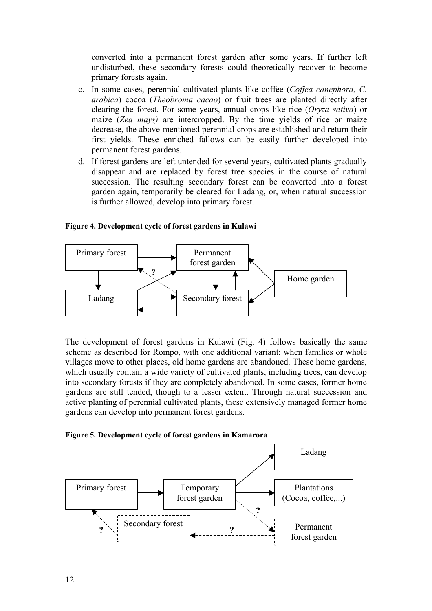converted into a permanent forest garden after some years. If further left undisturbed, these secondary forests could theoretically recover to become primary forests again.

- c. In some cases, perennial cultivated plants like coffee (*Coffea canephora, C. arabica*) cocoa (*Theobroma cacao*) or fruit trees are planted directly after clearing the forest. For some years, annual crops like rice (*Oryza sativa*) or maize (*Zea mays)* are intercropped. By the time yields of rice or maize decrease, the above-mentioned perennial crops are established and return their first yields. These enriched fallows can be easily further developed into permanent forest gardens.
- d. If forest gardens are left untended for several years, cultivated plants gradually disappear and are replaced by forest tree species in the course of natural succession. The resulting secondary forest can be converted into a forest garden again, temporarily be cleared for Ladang, or, when natural succession is further allowed, develop into primary forest.

#### **Figure 4. Development cycle of forest gardens in Kulawi**



The development of forest gardens in Kulawi (Fig. 4) follows basically the same scheme as described for Rompo, with one additional variant: when families or whole villages move to other places, old home gardens are abandoned. These home gardens, which usually contain a wide variety of cultivated plants, including trees, can develop into secondary forests if they are completely abandoned. In some cases, former home gardens are still tended, though to a lesser extent. Through natural succession and active planting of perennial cultivated plants, these extensively managed former home gardens can develop into permanent forest gardens.

#### **Figure 5. Development cycle of forest gardens in Kamarora**

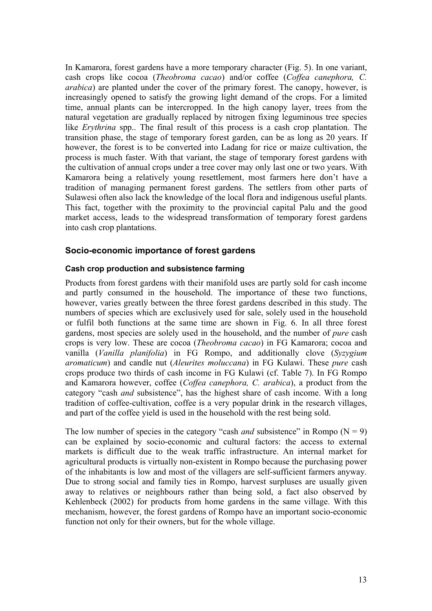In Kamarora, forest gardens have a more temporary character (Fig. 5). In one variant, cash crops like cocoa (*Theobroma cacao*) and/or coffee (*Coffea canephora, C. arabica*) are planted under the cover of the primary forest. The canopy, however, is increasingly opened to satisfy the growing light demand of the crops. For a limited time, annual plants can be intercropped. In the high canopy layer, trees from the natural vegetation are gradually replaced by nitrogen fixing leguminous tree species like *Erythrina* spp.. The final result of this process is a cash crop plantation. The transition phase, the stage of temporary forest garden, can be as long as 20 years. If however, the forest is to be converted into Ladang for rice or maize cultivation, the process is much faster. With that variant, the stage of temporary forest gardens with the cultivation of annual crops under a tree cover may only last one or two years. With Kamarora being a relatively young resettlement, most farmers here don't have a tradition of managing permanent forest gardens. The settlers from other parts of Sulawesi often also lack the knowledge of the local flora and indigenous useful plants. This fact, together with the proximity to the provincial capital Palu and the good market access, leads to the widespread transformation of temporary forest gardens into cash crop plantations.

#### **Socio-economic importance of forest gardens**

#### **Cash crop production and subsistence farming**

Products from forest gardens with their manifold uses are partly sold for cash income and partly consumed in the household. The importance of these two functions, however, varies greatly between the three forest gardens described in this study. The numbers of species which are exclusively used for sale, solely used in the household or fulfil both functions at the same time are shown in Fig. 6. In all three forest gardens, most species are solely used in the household, and the number of *pure* cash crops is very low. These are cocoa (*Theobroma cacao*) in FG Kamarora; cocoa and vanilla (*Vanilla planifolia*) in FG Rompo, and additionally clove (*Syzygium aromaticum*) and candle nut (*Aleurites moluccana*) in FG Kulawi. These *pure* cash crops produce two thirds of cash income in FG Kulawi (cf. Table 7). In FG Rompo and Kamarora however, coffee (*Coffea canephora, C. arabica*), a product from the category "cash *and* subsistence", has the highest share of cash income. With a long tradition of coffee-cultivation, coffee is a very popular drink in the research villages, and part of the coffee yield is used in the household with the rest being sold.

The low number of species in the category "cash *and* subsistence" in Rompo  $(N = 9)$ can be explained by socio-economic and cultural factors: the access to external markets is difficult due to the weak traffic infrastructure. An internal market for agricultural products is virtually non-existent in Rompo because the purchasing power of the inhabitants is low and most of the villagers are self-sufficient farmers anyway. Due to strong social and family ties in Rompo, harvest surpluses are usually given away to relatives or neighbours rather than being sold, a fact also observed by Kehlenbeck (2002) for products from home gardens in the same village. With this mechanism, however, the forest gardens of Rompo have an important socio-economic function not only for their owners, but for the whole village.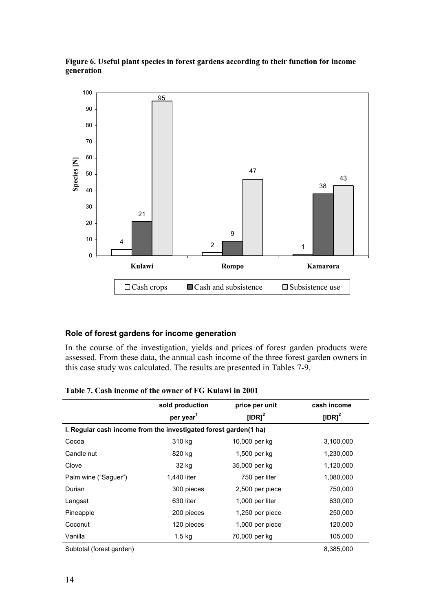

**Figure 6. Useful plant species in forest gardens according to their function for income generation**

#### **Role of forest gardens for income generation**

In the course of the investigation, yields and prices of forest garden products were assessed. From these data, the annual cash income of the three forest garden owners in this case study was calculated. The results are presented in Tables 7-9.

|                                                                  | sold production<br>per year <sup>1</sup> | price per unit<br>[IDR] $2$ | cash income<br>[IDR] $2$ |  |  |
|------------------------------------------------------------------|------------------------------------------|-----------------------------|--------------------------|--|--|
| I. Regular cash income from the investigated forest garden(1 ha) |                                          |                             |                          |  |  |
| Cocoa                                                            | 310 kg                                   | 10,000 per kg               | 3,100,000                |  |  |
| Candle nut                                                       | 820 kg                                   | 1,500 per kg                | 1,230,000                |  |  |
| Clove                                                            | 32 kg                                    | 35,000 per kg               | 1,120,000                |  |  |
| Palm wine ("Saguer")                                             | 1,440 liter                              | 750 per liter               | 1,080,000                |  |  |
| Durian                                                           | 300 pieces                               | 2,500 per piece             | 750,000                  |  |  |
| Langsat                                                          | 630 liter                                | 1,000 per liter             | 630,000                  |  |  |
| Pineapple                                                        | 200 pieces                               | 1,250 per piece             | 250,000                  |  |  |
| Coconut                                                          | 120 pieces                               | 1,000 per piece             | 120,000                  |  |  |
| Vanilla                                                          | $1.5$ kg                                 | 70,000 per kg               | 105,000                  |  |  |
| Subtotal (forest garden)                                         |                                          |                             | 8,385,000                |  |  |

**Table 7. Cash income of the owner of FG Kulawi in 2001**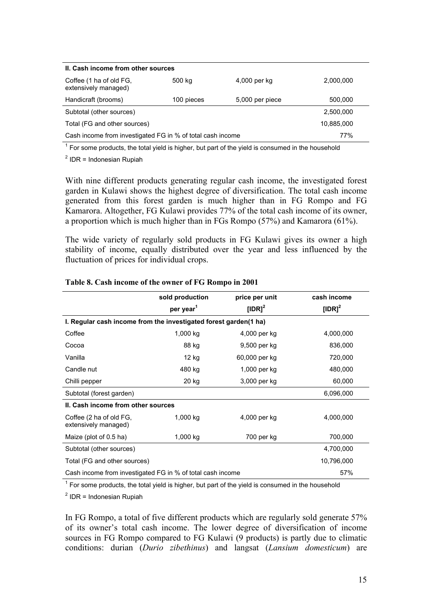| II. Cash income from other sources                         |            |                 |            |  |
|------------------------------------------------------------|------------|-----------------|------------|--|
| Coffee (1 ha of old FG,<br>extensively managed)            | 500 kg     | 4,000 per kg    | 2,000,000  |  |
| Handicraft (brooms)                                        | 100 pieces | 5,000 per piece | 500,000    |  |
| Subtotal (other sources)                                   |            |                 | 2,500,000  |  |
| Total (FG and other sources)                               |            |                 | 10,885,000 |  |
| Cash income from investigated FG in % of total cash income |            |                 | 77%        |  |

 $1$  For some products, the total yield is higher, but part of the yield is consumed in the household

 $<sup>2</sup>$  IDR = Indonesian Rupiah</sup>

With nine different products generating regular cash income, the investigated forest garden in Kulawi shows the highest degree of diversification. The total cash income generated from this forest garden is much higher than in FG Rompo and FG Kamarora. Altogether, FG Kulawi provides 77% of the total cash income of its owner, a proportion which is much higher than in FGs Rompo (57%) and Kamarora (61%).

The wide variety of regularly sold products in FG Kulawi gives its owner a high stability of income, equally distributed over the year and less influenced by the fluctuation of prices for individual crops.

|                                                            | sold production                                                  | price per unit     | cash income        |  |  |
|------------------------------------------------------------|------------------------------------------------------------------|--------------------|--------------------|--|--|
|                                                            | per year <sup>1</sup>                                            | [IDR] <sup>2</sup> | [IDR] <sup>2</sup> |  |  |
|                                                            | I. Regular cash income from the investigated forest garden(1 ha) |                    |                    |  |  |
| Coffee                                                     | $1,000$ kg                                                       | 4,000 per kg       | 4,000,000          |  |  |
| Cocoa                                                      | 88 kg                                                            | 9,500 per kg       | 836,000            |  |  |
| Vanilla                                                    | 12 kg                                                            | 60,000 per kg      | 720,000            |  |  |
| Candle nut                                                 | 480 kg                                                           | 1,000 per kg       | 480,000            |  |  |
| Chilli pepper                                              | 20 kg                                                            | 3,000 per kg       | 60,000             |  |  |
| Subtotal (forest garden)                                   |                                                                  |                    | 6,096,000          |  |  |
| II. Cash income from other sources                         |                                                                  |                    |                    |  |  |
| Coffee (2 ha of old FG,<br>extensively managed)            | $1,000$ kg                                                       | 4,000 per kg       | 4,000,000          |  |  |
| Maize (plot of 0.5 ha)                                     | $1,000$ kg                                                       | 700 per kg         | 700,000            |  |  |
| Subtotal (other sources)                                   |                                                                  |                    | 4,700,000          |  |  |
| Total (FG and other sources)                               |                                                                  |                    | 10,796,000         |  |  |
| Cash income from investigated FG in % of total cash income | 57%                                                              |                    |                    |  |  |

#### **Table 8. Cash income of the owner of FG Rompo in 2001**

 $1$  For some products, the total yield is higher, but part of the yield is consumed in the household

 $<sup>2</sup>$  IDR = Indonesian Rupiah</sup>

In FG Rompo, a total of five different products which are regularly sold generate 57% of its owner's total cash income. The lower degree of diversification of income sources in FG Rompo compared to FG Kulawi (9 products) is partly due to climatic conditions: durian (*Durio zibethinus*) and langsat (*Lansium domesticum*) are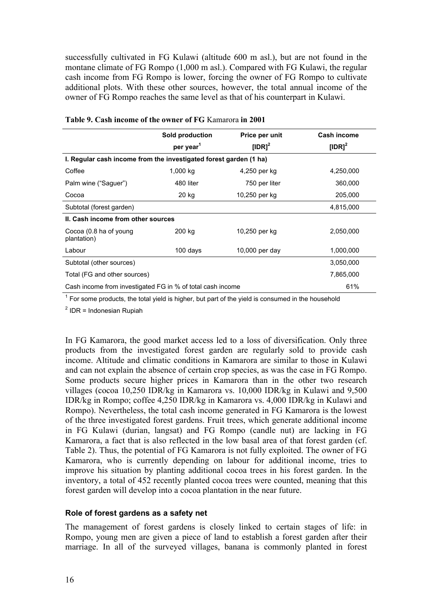successfully cultivated in FG Kulawi (altitude 600 m asl.), but are not found in the montane climate of FG Rompo (1,000 m asl.). Compared with FG Kulawi, the regular cash income from FG Rompo is lower, forcing the owner of FG Rompo to cultivate additional plots. With these other sources, however, the total annual income of the owner of FG Rompo reaches the same level as that of his counterpart in Kulawi.

|                                                                   | Sold production       | Price per unit     | <b>Cash income</b> |
|-------------------------------------------------------------------|-----------------------|--------------------|--------------------|
|                                                                   | per year <sup>1</sup> | [IDR] <sup>2</sup> | [IDR] $2$          |
| I. Regular cash income from the investigated forest garden (1 ha) |                       |                    |                    |
| Coffee                                                            | 1,000 kg              | 4,250 per kg       | 4,250,000          |
| Palm wine ("Saguer")                                              | 480 liter             | 750 per liter      | 360,000            |
| Cocoa                                                             | 20 kg                 | 10,250 per kg      | 205,000            |
| Subtotal (forest garden)                                          |                       |                    | 4,815,000          |
| II. Cash income from other sources                                |                       |                    |                    |
| Cocoa (0.8 ha of young<br>plantation)                             | 200 kg                | 10,250 per kg      | 2,050,000          |
| Labour                                                            | 100 days              | $10,000$ per day   | 1,000,000          |
| Subtotal (other sources)                                          |                       |                    | 3,050,000          |
| Total (FG and other sources)                                      |                       |                    | 7,865,000          |
| Cash income from investigated FG in % of total cash income        |                       |                    | 61%                |

|  | Table 9. Cash income of the owner of FG Kamarora in 2001 |
|--|----------------------------------------------------------|
|  |                                                          |

 $1$  For some products, the total yield is higher, but part of the yield is consumed in the household

 $<sup>2</sup>$  IDR = Indonesian Rupiah</sup>

In FG Kamarora, the good market access led to a loss of diversification. Only three products from the investigated forest garden are regularly sold to provide cash income. Altitude and climatic conditions in Kamarora are similar to those in Kulawi and can not explain the absence of certain crop species, as was the case in FG Rompo. Some products secure higher prices in Kamarora than in the other two research villages (cocoa 10,250 IDR/kg in Kamarora vs. 10,000 IDR/kg in Kulawi and 9,500 IDR/kg in Rompo; coffee 4,250 IDR/kg in Kamarora vs. 4,000 IDR/kg in Kulawi and Rompo). Nevertheless, the total cash income generated in FG Kamarora is the lowest of the three investigated forest gardens. Fruit trees, which generate additional income in FG Kulawi (durian, langsat) and FG Rompo (candle nut) are lacking in FG Kamarora, a fact that is also reflected in the low basal area of that forest garden (cf. Table 2). Thus, the potential of FG Kamarora is not fully exploited. The owner of FG Kamarora, who is currently depending on labour for additional income, tries to improve his situation by planting additional cocoa trees in his forest garden. In the inventory, a total of 452 recently planted cocoa trees were counted, meaning that this forest garden will develop into a cocoa plantation in the near future.

#### **Role of forest gardens as a safety net**

The management of forest gardens is closely linked to certain stages of life: in Rompo, young men are given a piece of land to establish a forest garden after their marriage. In all of the surveyed villages, banana is commonly planted in forest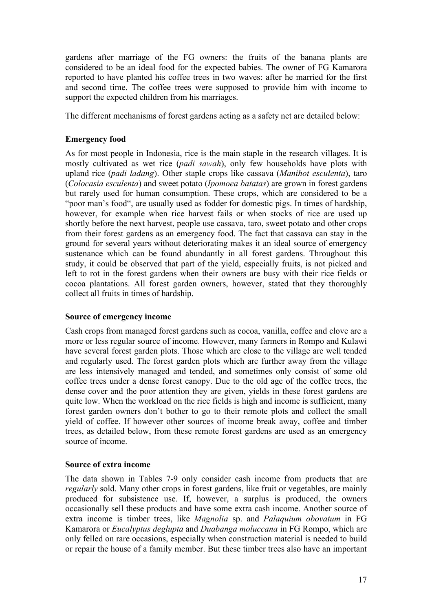gardens after marriage of the FG owners: the fruits of the banana plants are considered to be an ideal food for the expected babies. The owner of FG Kamarora reported to have planted his coffee trees in two waves: after he married for the first and second time. The coffee trees were supposed to provide him with income to support the expected children from his marriages.

The different mechanisms of forest gardens acting as a safety net are detailed below:

## **Emergency food**

As for most people in Indonesia, rice is the main staple in the research villages. It is mostly cultivated as wet rice (*padi sawah*), only few households have plots with upland rice (*padi ladang*). Other staple crops like cassava (*Manihot esculenta*), taro (*Colocasia esculenta*) and sweet potato (*Ipomoea batatas*) are grown in forest gardens but rarely used for human consumption. These crops, which are considered to be a "poor man's food", are usually used as fodder for domestic pigs. In times of hardship, however, for example when rice harvest fails or when stocks of rice are used up shortly before the next harvest, people use cassava, taro, sweet potato and other crops from their forest gardens as an emergency food. The fact that cassava can stay in the ground for several years without deteriorating makes it an ideal source of emergency sustenance which can be found abundantly in all forest gardens. Throughout this study, it could be observed that part of the yield, especially fruits, is not picked and left to rot in the forest gardens when their owners are busy with their rice fields or cocoa plantations. All forest garden owners, however, stated that they thoroughly collect all fruits in times of hardship.

## **Source of emergency income**

Cash crops from managed forest gardens such as cocoa, vanilla, coffee and clove are a more or less regular source of income. However, many farmers in Rompo and Kulawi have several forest garden plots. Those which are close to the village are well tended and regularly used. The forest garden plots which are further away from the village are less intensively managed and tended, and sometimes only consist of some old coffee trees under a dense forest canopy. Due to the old age of the coffee trees, the dense cover and the poor attention they are given, yields in these forest gardens are quite low. When the workload on the rice fields is high and income is sufficient, many forest garden owners don't bother to go to their remote plots and collect the small yield of coffee. If however other sources of income break away, coffee and timber trees, as detailed below, from these remote forest gardens are used as an emergency source of income.

#### **Source of extra income**

The data shown in Tables 7-9 only consider cash income from products that are *regularly* sold. Many other crops in forest gardens, like fruit or vegetables, are mainly produced for subsistence use. If, however, a surplus is produced, the owners occasionally sell these products and have some extra cash income. Another source of extra income is timber trees, like *Magnolia* sp. and *Palaquium obovatum* in FG Kamarora or *Eucalyptus deglupta* and *Duabanga moluccana* in FG Rompo, which are only felled on rare occasions, especially when construction material is needed to build or repair the house of a family member. But these timber trees also have an important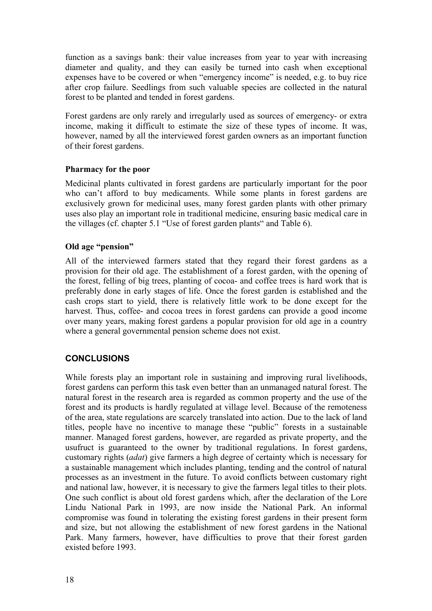function as a savings bank: their value increases from year to year with increasing diameter and quality, and they can easily be turned into cash when exceptional expenses have to be covered or when "emergency income" is needed, e.g. to buy rice after crop failure. Seedlings from such valuable species are collected in the natural forest to be planted and tended in forest gardens.

Forest gardens are only rarely and irregularly used as sources of emergency- or extra income, making it difficult to estimate the size of these types of income. It was, however, named by all the interviewed forest garden owners as an important function of their forest gardens.

#### **Pharmacy for the poor**

Medicinal plants cultivated in forest gardens are particularly important for the poor who can't afford to buy medicaments. While some plants in forest gardens are exclusively grown for medicinal uses, many forest garden plants with other primary uses also play an important role in traditional medicine, ensuring basic medical care in the villages (cf. chapter 5.1 "Use of forest garden plants" and Table 6).

## **Old age "pension"**

All of the interviewed farmers stated that they regard their forest gardens as a provision for their old age. The establishment of a forest garden, with the opening of the forest, felling of big trees, planting of cocoa- and coffee trees is hard work that is preferably done in early stages of life. Once the forest garden is established and the cash crops start to yield, there is relatively little work to be done except for the harvest. Thus, coffee- and cocoa trees in forest gardens can provide a good income over many years, making forest gardens a popular provision for old age in a country where a general governmental pension scheme does not exist.

## **CONCLUSIONS**

While forests play an important role in sustaining and improving rural livelihoods, forest gardens can perform this task even better than an unmanaged natural forest. The natural forest in the research area is regarded as common property and the use of the forest and its products is hardly regulated at village level. Because of the remoteness of the area, state regulations are scarcely translated into action. Due to the lack of land titles, people have no incentive to manage these "public" forests in a sustainable manner. Managed forest gardens, however, are regarded as private property, and the usufruct is guaranteed to the owner by traditional regulations. In forest gardens, customary rights (*adat*) give farmers a high degree of certainty which is necessary for a sustainable management which includes planting, tending and the control of natural processes as an investment in the future. To avoid conflicts between customary right and national law, however, it is necessary to give the farmers legal titles to their plots. One such conflict is about old forest gardens which, after the declaration of the Lore Lindu National Park in 1993, are now inside the National Park. An informal compromise was found in tolerating the existing forest gardens in their present form and size, but not allowing the establishment of new forest gardens in the National Park. Many farmers, however, have difficulties to prove that their forest garden existed before 1993.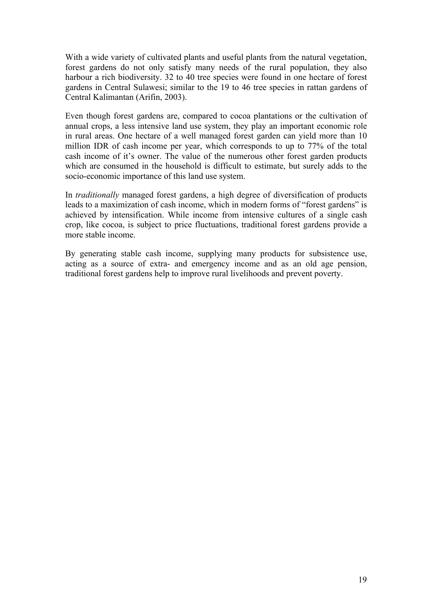With a wide variety of cultivated plants and useful plants from the natural vegetation, forest gardens do not only satisfy many needs of the rural population, they also harbour a rich biodiversity. 32 to 40 tree species were found in one hectare of forest gardens in Central Sulawesi; similar to the 19 to 46 tree species in rattan gardens of Central Kalimantan (Arifin, 2003).

Even though forest gardens are, compared to cocoa plantations or the cultivation of annual crops, a less intensive land use system, they play an important economic role in rural areas. One hectare of a well managed forest garden can yield more than 10 million IDR of cash income per year, which corresponds to up to 77% of the total cash income of it's owner. The value of the numerous other forest garden products which are consumed in the household is difficult to estimate, but surely adds to the socio-economic importance of this land use system.

In *traditionally* managed forest gardens, a high degree of diversification of products leads to a maximization of cash income, which in modern forms of "forest gardens" is achieved by intensification. While income from intensive cultures of a single cash crop, like cocoa, is subject to price fluctuations, traditional forest gardens provide a more stable income.

By generating stable cash income, supplying many products for subsistence use, acting as a source of extra- and emergency income and as an old age pension, traditional forest gardens help to improve rural livelihoods and prevent poverty.